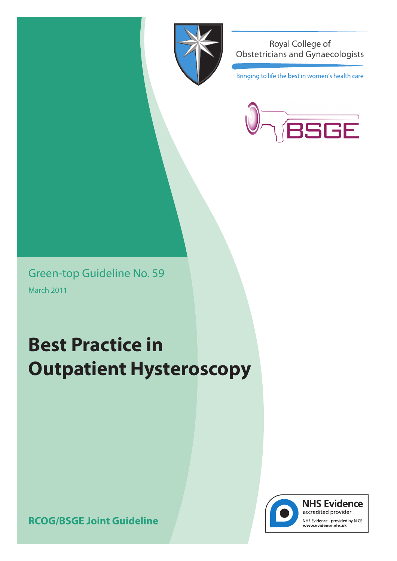

Royal College of Obstetricians and Gynaecologists

Bringing to life the best in women's health care



Green-top Guideline No. 59 March 2011

# **Best Practice in Outpatient Hysteroscopy**



**NHS Evidence** accredited provider

NHS Evidence - provided by NICE<br>www.evidence.nhs.uk

**RCOG/BSGE Joint Guideline**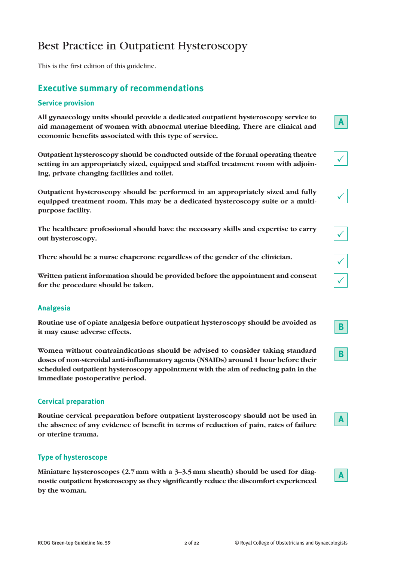# Best Practice in Outpatient Hysteroscopy

This is the first edition of this guideline.

# **Executive summary of recommendations**

#### **Service provision**

**All gynaecology units should provide a dedicated outpatient hysteroscopy service to aid management of women with abnormal uterine bleeding. There are clinical and economic benefits associated with this type of service.**

**Outpatient hysteroscopy should be conducted outside of the formal operating theatre setting in an appropriately sized, equipped and staffed treatment room with adjoining, private changing facilities and toilet.**

**Outpatient hysteroscopy should be performed in an appropriately sized and fully equipped treatment room. This may be a dedicated hysteroscopy suite or a multipurpose facility.**

**The healthcare professional should have the necessary skills and expertise to carry out hysteroscopy.**

**There should be a nurse chaperone regardless of the gender of the clinician.**

**Written patient information should be provided before the appointment and consent for the procedure should be taken.**

# **Analgesia**

**Routine use of opiate analgesia before outpatient hysteroscopy should be avoided as it may cause adverse effects.**

**Women without contraindications should be advised to consider taking standard doses of non-steroidal anti-inflammatory agents (NSAIDs) around 1 hour before their scheduled outpatient hysteroscopy appointment with the aim of reducing pain in the immediate postoperative period.**

# **Cervical preparation**

**Routine cervical preparation before outpatient hysteroscopy should not be used in the absence of any evidence of benefit in terms of reduction of pain, rates of failure or uterine trauma.**

# **Type of hysteroscope**

**Miniature hysteroscopes (2.7mm with a 3–3.5mm sheath) should be used for diagnostic outpatient hysteroscopy as they significantly reduce the discomfort experienced by the woman.**



**A**

**A**

**A**

 $\checkmark$ 

 $\checkmark$ 

 $\checkmark$ 

 $\sum_{i=1}^{n}$ 

 $\checkmark$ 

**B**

**B**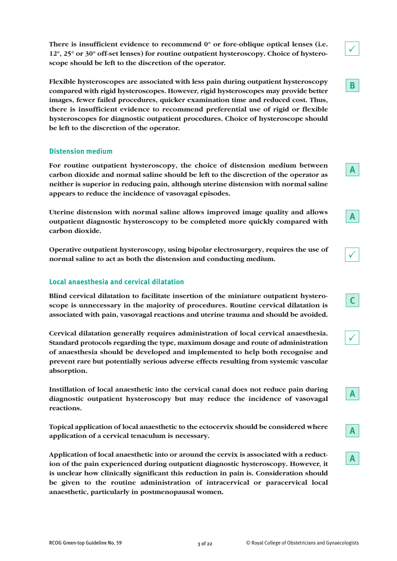**There is insufficient evidence to recommend 0° or fore-oblique optical lenses (i.e. 12°, 25° or 30° off-set lenses) for routine outpatient hysteroscopy. Choice of hysteroscope should be left to the discretion of the operator.**

**Flexible hysteroscopes are associated with less pain during outpatient hysteroscopy compared with rigid hysteroscopes. However, rigid hysteroscopes may provide better images, fewer failed procedures, quicker examination time and reduced cost. Thus, there is insufficient evidence to recommend preferential use of rigid or flexible hysteroscopes for diagnostic outpatient procedures. Choice of hysteroscope should be left to the discretion of the operator.**

#### **Distension medium**

**For routine outpatient hysteroscopy, the choice of distension medium between carbon dioxide and normal saline should be left to the discretion of the operator as neither is superior in reducing pain, although uterine distension with normal saline appears to reduce the incidence of vasovagal episodes.**

**Uterine distension with normal saline allows improved image quality and allows outpatient diagnostic hysteroscopy to be completed more quickly compared with carbon dioxide.**

**Operative outpatient hysteroscopy, using bipolar electrosurgery, requires the use of normal saline to act as both the distension and conducting medium.**

# **Local anaesthesia and cervical dilatation**

**Blind cervical dilatation to facilitate insertion of the miniature outpatient hysteroscope is unnecessary in the majority of procedures. Routine cervical dilatation is associated with pain, vasovagal reactions and uterine trauma and should be avoided.**

**Cervical dilatation generally requires administration of local cervical anaesthesia. Standard protocols regarding the type, maximum dosage and route of administration of anaesthesia should be developed and implemented to help both recognise and prevent rare but potentially serious adverse effects resulting from systemic vascular absorption.**

**Instillation of local anaesthetic into the cervical canal does not reduce pain during diagnostic outpatient hysteroscopy but may reduce the incidence of vasovagal reactions.**

**Topical application of local anaesthetic to the ectocervix should be considered where application of a cervical tenaculum is necessary.**

**Application of local anaesthetic into or around the cervix is associated with a reduction of the pain experienced during outpatient diagnostic hysteroscopy. However, it is unclear how clinically significant this reduction in pain is. Consideration should be given to the routine administration of intracervical or paracervical local anaesthetic, particularly in postmenopausal women.**

 $\checkmark$ 

**B**

**A**

**A**

 $\checkmark$ 

 $\checkmark$ 

**A**

**A**

**A**

**C**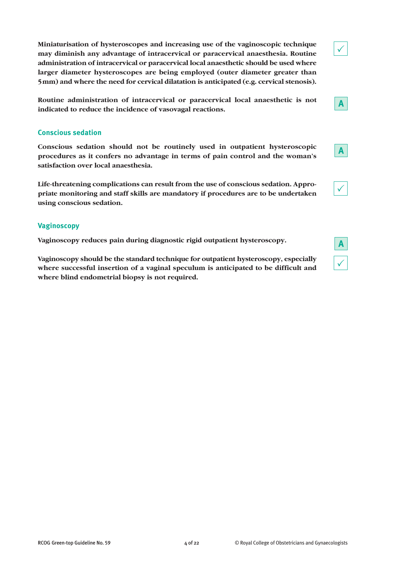**Miniaturisation of hysteroscopes and increasing use of the vaginoscopic technique may diminish any advantage of intracervical or paracervical anaesthesia. Routine administration of intracervical or paracervical local anaesthetic should be used where larger diameter hysteroscopes are being employed (outer diameter greater than 5mm) and where the need for cervical dilatation is anticipated (e.g. cervical stenosis).**

**Routine administration of intracervical or paracervical local anaesthetic is not indicated to reduce the incidence of vasovagal reactions.**

#### **Conscious sedation**

**Conscious sedation should not be routinely used in outpatient hysteroscopic procedures as it confers no advantage in terms of pain control and the woman's satisfaction over local anaesthesia.**

**Life-threatening complications can result from the use of conscious sedation. Appropriate monitoring and staff skills are mandatory if procedures are to be undertaken using conscious sedation.**

# **Vaginoscopy**

**Vaginoscopy reduces pain during diagnostic rigid outpatient hysteroscopy.**

**Vaginoscopy should be the standard technique for outpatient hysteroscopy, especially where successful insertion of a vaginal speculum is anticipated to be difficult and where blind endometrial biopsy is not required.**



 $\checkmark$ 

**A**



**A**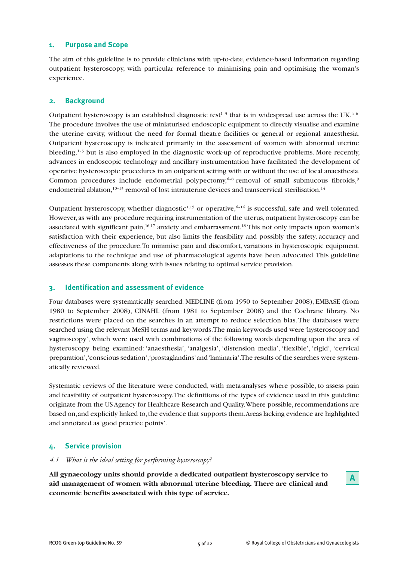#### **1. Purpose and Scope**

The aim of this guideline is to provide clinicians with up-to-date, evidence-based information regarding outpatient hysteroscopy, with particular reference to minimising pain and optimising the woman's experience.

#### **2. Background**

Outpatient hysteroscopy is an established diagnostic test<sup>1-3</sup> that is in widespread use across the UK.<sup>4-6</sup> The procedure involves the use of miniaturised endoscopic equipment to directly visualise and examine the uterine cavity, without the need for formal theatre facilities or general or regional anaesthesia. Outpatient hysteroscopy is indicated primarily in the assessment of women with abnormal uterine bleeding,<sup>1-3</sup> but is also employed in the diagnostic work-up of reproductive problems. More recently, advances in endoscopic technology and ancillary instrumentation have facilitated the development of operative hysteroscopic procedures in an outpatient setting with or without the use of local anaesthesia. Common procedures include endometrial polypectomy,<sup>6-8</sup> removal of small submucous fibroids,<sup>9</sup> endometrial ablation,  $10-13$  removal of lost intrauterine devices and transcervical sterilisation.  $14$ 

Outpatient hysteroscopy, whether diagnostic<sup>1,15</sup> or operative,  $6-14$  is successful, safe and well tolerated. However, as with any procedure requiring instrumentation of the uterus, outpatient hysteroscopy can be associated with significant pain, 16,17 anxiety and embarrassment. <sup>18</sup> This not only impacts upon women's satisfaction with their experience, but also limits the feasibility and possibly the safety, accuracy and effectiveness of the procedure.To minimise pain and discomfort, variations in hysteroscopic equipment, adaptations to the technique and use of pharmacological agents have been advocated.This guideline assesses these components along with issues relating to optimal service provision.

#### **3. Identification and assessment of evidence**

Four databases were systematically searched: MEDLINE (from 1950 to September 2008), EMBASE (from 1980 to September 2008), CINAHL (from 1981 to September 2008) and the Cochrane library. No restrictions were placed on the searches in an attempt to reduce selection bias.The databases were searched using the relevant MeSH terms and keywords.The main keywords used were 'hysteroscopy and vaginoscopy', which were used with combinations of the following words depending upon the area of hysteroscopy being examined: 'anaesthesia', 'analgesia', 'distension media', 'flexible', 'rigid', 'cervical preparation','conscious sedation','prostaglandins'and'laminaria'.The results of the searches were systematically reviewed.

Systematic reviews of the literature were conducted, with meta-analyses where possible, to assess pain and feasibility of outpatient hysteroscopy.The definitions of the types of evidence used in this guideline originate from the US Agency for Healthcare Research and Quality.Where possible,recommendations are based on,and explicitly linked to,the evidence that supports them.Areas lacking evidence are highlighted and annotated as'good practice points'.

# **4. Service provision**

#### *4.1 What is the ideal setting for performing hysteroscopy?*

**All gynaecology units should provide a dedicated outpatient hysteroscopy service to aid management of women with abnormal uterine bleeding. There are clinical and economic benefits associated with this type of service.**

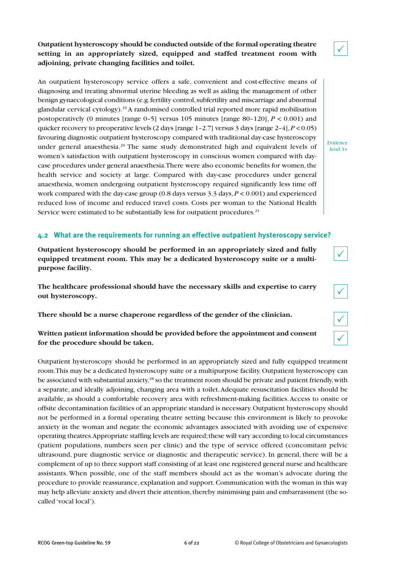**Outpatient hysteroscopy should be conducted outside of the formal operating theatre setting in an appropriately sized, equipped and staffed treatment room with adjoining, private changing facilities and toilet.**

An outpatient hysteroscopy service offers a safe, convenient and cost-effective means of diagnosing and treating abnormal uterine bleeding as well as aiding the management of other benign gynaecological conditions (e.g.fertility control,subfertility and miscarriage and abnormal glandular cervical cytology). <sup>19</sup> A randomised controlled trial reported more rapid mobilisation postoperatively (0 minutes [range 0–5] versus 105 minutes [range 80–120], *P* < 0.001) and quicker recovery to preoperative levels (2 days [range 1–2.7] versus 3 days [range 2–4],*P* <0.05) favouring diagnostic outpatient hysteroscopy compared with traditional day-case hysteroscopy under general anaesthesia. <sup>20</sup> The same study demonstrated high and equivalent levels of women's satisfaction with outpatient hysteroscopy in conscious women compared with daycase procedures under general anaesthesia.There were also economic benefits for women,the health service and society at large. Compared with day-case procedures under general anaesthesia, women undergoing outpatient hysteroscopy required significantly less time off work compared with the day-case group  $(0.8$  days versus  $3.3$  days,  $P < 0.001$ ) and experienced reduced loss of income and reduced travel costs. Costs per woman to the National Health Service were estimated to be substantially less for outpatient procedures.<sup>21</sup>

# **4.2 What are the requirements for running an effective outpatient hysteroscopy service?**

**Outpatient hysteroscopy should be performed in an appropriately sized and fully equipped treatment room. This may be a dedicated hysteroscopy suite or a multipurpose facility.**

**The healthcare professional should have the necessary skills and expertise to carry out hysteroscopy.**

**There should be a nurse chaperone regardless of the gender of the clinician.**

# **Written patient information should be provided before the appointment and consent for the procedure should be taken.**

Outpatient hysteroscopy should be performed in an appropriately sized and fully equipped treatment room.This may be a dedicated hysteroscopy suite or a multipurpose facility.Outpatient hysteroscopy can be associated with substantial anxiety,<sup>18</sup> so the treatment room should be private and patient friendly, with a separate, and ideally adjoining, changing area with a toilet.Adequate resuscitation facilities should be available, as should a comfortable recovery area with refreshment-making facilities.Access to onsite or offsite decontamination facilities of an appropriate standard is necessary.Outpatient hysteroscopy should not be performed in a formal operating theatre setting because this environment is likely to provoke anxiety in the woman and negate the economic advantages associated with avoiding use of expensive operating theatres.Appropriate staffing levels are required;these will vary according to local circumstances (patient populations, numbers seen per clinic) and the type of service offered (concomitant pelvic ultrasound, pure diagnostic service or diagnostic and therapeutic service). In general, there will be a complement of up to three support staff consisting of at least one registered general nurse and healthcare assistants. When possible, one of the staff members should act as the woman's advocate during the procedure to provide reassurance, explanation and support. Communication with the woman in this way may help alleviate anxiety and divert their attention, thereby minimising pain and embarrassment (the socalled 'vocal local').



 $\checkmark$ 





Evidence level 1+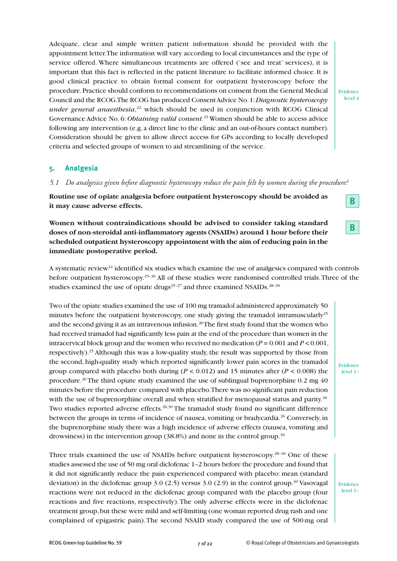Adequate, clear and simple written patient information should be provided with the appointment letter.The information will vary according to local circumstances and the type of service offered. Where simultaneous treatments are offered ('see and treat' services), it is important that this fact is reflected in the patient literature to facilitate informed choice. It is good clinical practice to obtain formal consent for outpatient hysteroscopy before the procedure.Practice should conform to recommendations on consent from the General Medical Council and the RCOG.The RCOG has produced ConsentAdvice No.1:*Diagnostic hysteroscopy under general anaesthesia*, <sup>22</sup> which should be used in conjunction with RCOG Clinical Governance Advice No. 6: *Obtaining valid consent*. <sup>23</sup> Women should be able to access advice following any intervention (e.g. a direct line to the clinic and an out-of-hours contact number). Consideration should be given to allow direct access for GPs according to locally developed criteria and selected groups of women to aid streamlining of the service.

#### **5. Analgesia**

*5.1 Do analgesics given before diagnostic hysteroscopy reduce the pain felt by women during the procedure?*

**Routine use of opiate analgesia before outpatient hysteroscopy should be avoided as it may cause adverse effects.**

**Women without contraindications should be advised to consider taking standard doses of non-steroidal anti-inflammatory agents (NSAIDs) around 1 hour before their scheduled outpatient hysteroscopy appointment with the aim of reducing pain in the immediate postoperative period.**

A systematic review<sup>24</sup> identified six studies which examine the use of analgesics compared with controls before outpatient hysteroscopy.<sup>25-30</sup> All of these studies were randomised controlled trials. Three of the studies examined the use of opiate drugs<sup>25-27</sup> and three examined NSAIDs.<sup>28-30</sup>

Two of the opiate studies examined the use of 100 mg tramadol administered approximately 50 minutes before the outpatient hysteroscopy, one study giving the tramadol intramuscularly<sup>25</sup> and the second giving it as an intravenous infusion. $^{26}\mathrm{The}$  first study found that the women who had received tramadol had significantly less pain at the end of the procedure than women in the intracervical block group and the women who received no medication  $(P = 0.001$  and  $P < 0.001$ , respectively). <sup>25</sup> Although this was a low-quality study, the result was supported by those from the second, high-quality study which reported significantly lower pain scores in the tramadol group compared with placebo both during ( $P < 0.012$ ) and 15 minutes after ( $P < 0.008$ ) the procedure. <sup>26</sup> The third opiate study examined the use of sublingual buprenorphine 0.2 mg 40 minutes before the procedure compared with placebo.There was no significant pain reduction with the use of buprenorphine overall and when stratified for menopausal status and parity.<sup>30</sup> Two studies reported adverse effects.<sup>26,30</sup> The tramadol study found no significant difference between the groups in terms of incidence of nausea, vomiting or bradycardia.<sup>26</sup> Conversely, in the buprenorphine study there was a high incidence of adverse effects (nausea, vomiting and drowsiness) in the intervention group (38.8%) and none in the control group.<sup>30</sup>

Three trials examined the use of NSAIDs before outpatient hysteroscopy.<sup>28-30</sup> One of these studies assessed the use of 50 mg oral diclofenac 1–2 hours before the procedure and found that it did not significantly reduce the pain experienced compared with placebo: mean (standard deviation) in the diclofenac group 3.0 (2.5) versus 3.0 (2.9) in the control group.<sup>30</sup> Vasovagal reactions were not reduced in the diclofenac group compared with the placebo group (four reactions and five reactions, respectively).The only adverse effects were in the diclofenac treatment group,but these were mild and self-limiting (one woman reported drug rash and one complained of epigastric pain).The second NSAID study compared the use of 500 mg oral

Evidence level 1–

Evidence level 1–

Evidence level 4

**B**

**B**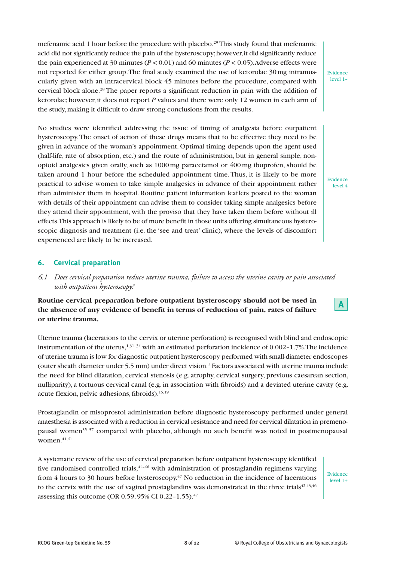mefenamic acid 1 hour before the procedure with placebo. <sup>29</sup> This study found that mefenamic acid did not significantly reduce the pain of the hysteroscopy;however,it did significantly reduce the pain experienced at 30 minutes ( $P < 0.01$ ) and 60 minutes ( $P < 0.05$ ). Adverse effects were not reported for either group.The final study examined the use of ketorolac 30 mg intramuscularly given with an intracervical block 45 minutes before the procedure, compared with cervical block alone. <sup>28</sup> The paper reports a significant reduction in pain with the addition of ketorolac; however, it does not report *P* values and there were only 12 women in each arm of the study, making it difficult to draw strong conclusions from the results.

No studies were identified addressing the issue of timing of analgesia before outpatient hysteroscopy.The onset of action of these drugs means that to be effective they need to be given in advance of the woman's appointment. Optimal timing depends upon the agent used (half-life, rate of absorption, etc.) and the route of administration, but in general simple, nonopioid analgesics given orally, such as 1000 mg paracetamol or 400 mg ibuprofen, should be taken around 1 hour before the scheduled appointment time.Thus, it is likely to be more practical to advise women to take simple analgesics in advance of their appointment rather than administer them in hospital. Routine patient information leaflets posted to the woman with details of their appointment can advise them to consider taking simple analgesics before they attend their appointment, with the proviso that they have taken them before without ill effects.This approach is likely to be of more benefit in those units offering simultaneous hysteroscopic diagnosis and treatment (i.e. the 'see and treat' clinic), where the levels of discomfort experienced are likely to be increased.

#### **6. Cervical preparation**

*6.1 Does cervical preparation reduce uterine trauma, failure to access the uterine cavity or pain associated with outpatient hysteroscopy?*

**Routine cervical preparation before outpatient hysteroscopy should not be used in the absence of any evidence of benefit in terms of reduction of pain, rates of failure or uterine trauma.**

Uterine trauma (lacerations to the cervix or uterine perforation) is recognised with blind and endoscopic instrumentation of the uterus,  $^{1,31-34}$  with an estimated perforation incidence of 0.002–1.7%. The incidence of uterine trauma is low for diagnostic outpatient hysteroscopy performed with small-diameter endoscopes (outer sheath diameter under 5.5 mm) under direct vision. <sup>1</sup> Factors associated with uterine trauma include the need for blind dilatation, cervical stenosis (e.g. atrophy, cervical surgery, previous caesarean section, nulliparity), a tortuous cervical canal (e.g. in association with fibroids) and a deviated uterine cavity (e.g. acute flexion, pelvic adhesions, fibroids). <sup>15,19</sup>

Prostaglandin or misoprostol administration before diagnostic hysteroscopy performed under general anaesthesia is associated with a reduction in cervical resistance and need for cervical dilatation in premenopausal women35–37 compared with placebo, although no such benefit was noted in postmenopausal women. 41,41

A systematic review of the use of cervical preparation before outpatient hysteroscopy identified five randomised controlled trials, $42-46$  with administration of prostaglandin regimens varying from 4 hours to 30 hours before hysteroscopy.<sup>47</sup> No reduction in the incidence of lacerations to the cervix with the use of vaginal prostaglandins was demonstrated in the three trials $42,43,46$ assessing this outcome (OR 0.59, 95% CI 0.22-1.55).<sup>47</sup>

Evidence level 1+



Evidence level 1–

Evidence level 4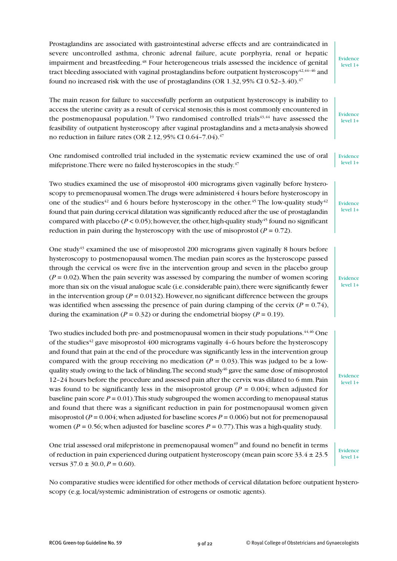Prostaglandins are associated with gastrointestinal adverse effects and are contraindicated in severe uncontrolled asthma, chronic adrenal failure, acute porphyria, renal or hepatic impairment and breastfeeding.<sup>48</sup> Four heterogeneous trials assessed the incidence of genital tract bleeding associated with vaginal prostaglandins before outpatient hysteroscopy $4^{2,44-46}$  and found no increased risk with the use of prostaglandins (OR  $1.32,95\%$  CI  $0.52$ –3.40). $^{47}$ 

The main reason for failure to successfully perform an outpatient hysteroscopy is inability to access the uterine cavity as a result of cervical stenosis;this is most commonly encountered in the postmenopausal population.<sup>19</sup> Two randomised controlled trials<sup>43,44</sup> have assessed the feasibility of outpatient hysteroscopy after vaginal prostaglandins and a meta-analysis showed no reduction in failure rates (OR 2.12, 95% CI 0.64–7.04). 47

One randomised controlled trial included in the systematic review examined the use of oral mifepristone. There were no failed hysteroscopies in the study.<sup>47</sup> Evidence level 1+

Two studies examined the use of misoprostol 400 micrograms given vaginally before hysteroscopy to premenopausal women. The drugs were administered 4 hours before hysteroscopy in one of the studies<sup>42</sup> and 6 hours before hysteroscopy in the other.<sup>45</sup> The low-quality study<sup>42</sup> found that pain during cervical dilatation was significantly reduced after the use of prostaglandin compared with placebo ( $P < 0.05$ ); however, the other, high-quality study<sup>45</sup> found no significant reduction in pain during the hysteroscopy with the use of misoprostol  $(P = 0.72)$ .

One study<sup>43</sup> examined the use of misoprostol 200 micrograms given vaginally 8 hours before hysteroscopy to postmenopausal women.The median pain scores as the hysteroscope passed through the cervical os were five in the intervention group and seven in the placebo group  $(P = 0.02)$ . When the pain severity was assessed by comparing the number of women scoring more than six on the visual analogue scale (i.e. considerable pain), there were significantly fewer in the intervention group ( $P = 0.0132$ ). However, no significant difference between the groups was identified when assessing the presence of pain during clamping of the cervix  $(P = 0.74)$ , during the examination ( $P = 0.32$ ) or during the endometrial biopsy ( $P = 0.19$ ).

Two studies included both pre- and postmenopausal women in their study populations.<sup>44,46</sup> One of the studies<sup>42</sup> gave misoprostol 400 micrograms vaginally 4–6 hours before the hysteroscopy and found that pain at the end of the procedure was significantly less in the intervention group compared with the group receiving no medication  $(P = 0.03)$ . This was judged to be a lowquality study owing to the lack of blinding. The second study $46$  gave the same dose of misoprostol 12–24 hours before the procedure and assessed pain after the cervix was dilated to 6 mm.Pain was found to be significantly less in the misoprostol group ( $P = 0.004$ ; when adjusted for baseline pain score  $P = 0.01$ . This study subgrouped the women according to menopausal status and found that there was a significant reduction in pain for postmenopausal women given misoprostol ( $P = 0.004$ ; when adjusted for baseline scores  $P = 0.006$ ) but not for premenopausal women ( $P = 0.56$ ; when adjusted for baseline scores  $P = 0.77$ ). This was a high-quality study.

One trial assessed oral mifepristone in premenopausal women<sup>49</sup> and found no benefit in terms of reduction in pain experienced during outpatient hysteroscopy (mean pain score  $33.4 \pm 23.5$ versus  $37.0 \pm 30.0$ ,  $P = 0.60$ ).

No comparative studies were identified for other methods of cervical dilatation before outpatient hysteroscopy (e.g. local/systemic administration of estrogens or osmotic agents).

Evidence level 1+

Evidence level 1+

Evidence level 1+

Evidence  $level 1+$ 

Evidence level 1+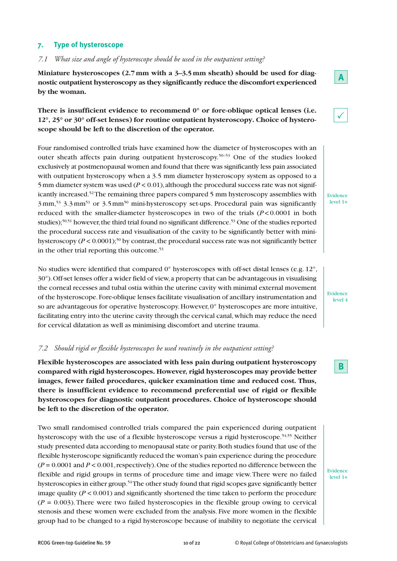#### **7. Type of hysteroscope**

*7.1 What size and angle of hysteroscope should be used in the outpatient setting?*

**Miniature hysteroscopes (2.7mm with a 3–3.5mm sheath) should be used for diagnostic outpatient hysteroscopy as they significantly reduce the discomfort experienced by the woman.**

# **There is insufficient evidence to recommend 0° or fore-oblique optical lenses (i.e. 12°, 25° or 30° off-set lenses) for routine outpatient hysteroscopy. Choice of hysteroscope should be left to the discretion of the operator.**

Four randomised controlled trials have examined how the diameter of hysteroscopes with an outer sheath affects pain during outpatient hysteroscopy. 50–53 One of the studies looked exclusively at postmenopausal women and found that there was significantly less pain associated with outpatient hysteroscopy when a 3.5 mm diameter hysteroscopy system as opposed to a 5 mm diameter system was used  $(P < 0.01)$ , although the procedural success rate was not significantly increased. 52The remaining three papers compared 5 mm hysteroscopy assemblies with 3 mm, <sup>53</sup> 3.3 mm51 or 3.5mm50 mini-hysteroscopy set-ups. Procedural pain was significantly reduced with the smaller-diameter hysteroscopes in two of the trials (*P* < 0.0001 in both studies); 50,51 however,the third trial found no significant difference. <sup>53</sup> One of the studies reported the procedural success rate and visualisation of the cavity to be significantly better with minihysteroscopy  $(P < 0.0001)$ <sup>50</sup> by contrast, the procedural success rate was not significantly better in the other trial reporting this outcome. 53

No studies were identified that compared 0° hysteroscopes with off-set distal lenses (e.g. 12°, 30°).Off-set lenses offer a wider field of view,a property that can be advantageous in visualising the corneal recesses and tubal ostia within the uterine cavity with minimal external movement of the hysteroscope.Fore-oblique lenses facilitate visualisation of ancillary instrumentation and so are advantageous for operative hysteroscopy. However, 0° hysteroscopes are more intuitive, facilitating entry into the uterine cavity through the cervical canal, which may reduce the need for cervical dilatation as well as minimising discomfort and uterine trauma.

#### *7.2 Should rigid or flexible hysteroscopes be used routinely in the outpatient setting?*

**Flexible hysteroscopes are associated with less pain during outpatient hysteroscopy compared with rigid hysteroscopes. However, rigid hysteroscopes may provide better images, fewer failed procedures, quicker examination time and reduced cost. Thus, there is insufficient evidence to recommend preferential use of rigid or flexible hysteroscopes for diagnostic outpatient procedures. Choice of hysteroscope should be left to the discretion of the operator.**

Two small randomised controlled trials compared the pain experienced during outpatient hysteroscopy with the use of a flexible hysteroscope versus a rigid hysteroscope. 54,55 Neither study presented data according to menopausal state or parity.Both studies found that use of the flexible hysteroscope significantly reduced the woman's pain experience during the procedure  $(P = 0.0001$  and  $P < 0.001$ , respectively). One of the studies reported no difference between the flexible and rigid groups in terms of procedure time and image view.There were no failed hysteroscopies in either group.<sup>54</sup>The other study found that rigid scopes gave significantly better image quality  $(P < 0.001)$  and significantly shortened the time taken to perform the procedure  $(P = 0.003)$ . There were two failed hysteroscopies in the flexible group owing to cervical stenosis and these women were excluded from the analysis. Five more women in the flexible group had to be changed to a rigid hysteroscope because of inability to negotiate the cervical



 $\checkmark$ 

Evidence level 1+

Evidence level 4

**B**

Evidence level 1+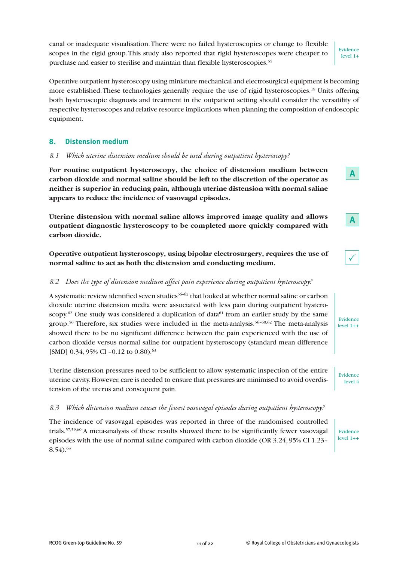canal or inadequate visualisation.There were no failed hysteroscopies or change to flexible scopes in the rigid group.This study also reported that rigid hysteroscopes were cheaper to purchase and easier to sterilise and maintain than flexible hysteroscopies. 55

Operative outpatient hysteroscopy using miniature mechanical and electrosurgical equipment is becoming more established. These technologies generally require the use of rigid hysteroscopies.<sup>19</sup> Units offering both hysteroscopic diagnosis and treatment in the outpatient setting should consider the versatility of respective hysteroscopes and relative resource implications when planning the composition of endoscopic equipment.

# **8. Distension medium**

#### *8.1 Which uterine distension medium should be used during outpatient hysteroscopy?*

**For routine outpatient hysteroscopy, the choice of distension medium between carbon dioxide and normal saline should be left to the discretion of the operator as neither is superior in reducing pain, although uterine distension with normal saline appears to reduce the incidence of vasovagal episodes.**

**Uterine distension with normal saline allows improved image quality and allows outpatient diagnostic hysteroscopy to be completed more quickly compared with carbon dioxide.**

**Operative outpatient hysteroscopy, using bipolar electrosurgery, requires the use of normal saline to act as both the distension and conducting medium.**

# *8.2 Does the type of distension medium affect pain experience during outpatient hysteroscopy?*

A systematic review identified seven studies<sup>56-62</sup> that looked at whether normal saline or carbon dioxide uterine distension media were associated with less pain during outpatient hysteroscopy.<sup>62</sup> One study was considered a duplication of data<sup>61</sup> from an earlier study by the same group. <sup>56</sup> Therefore, six studies were included in the meta-analysis. 56–60,62 The meta-analysis showed there to be no significant difference between the pain experienced with the use of carbon dioxide versus normal saline for outpatient hysteroscopy (standard mean difference [SMD] 0.34, 95% CI -0.12 to 0.80).<sup>63</sup>

Uterine distension pressures need to be sufficient to allow systematic inspection of the entire uterine cavity. However, care is needed to ensure that pressures are minimised to avoid overdistension of the uterus and consequent pain.

#### *8.3 Which distension medium causes the fewest vasovagal episodes during outpatient hysteroscopy?*

The incidence of vasovagal episodes was reported in three of the randomised controlled trials.<sup>57,59,60</sup> A meta-analysis of these results showed there to be significantly fewer vasovagal episodes with the use of normal saline compared with carbon dioxide (OR 3.24, 95% CI 1.23–  $8.54$ ).<sup>63</sup>

Evidence level  $1++$ 

Evidence level 4

Evidence level 1+

**A**

**A**

 $\checkmark$ 

Evidence

level 1++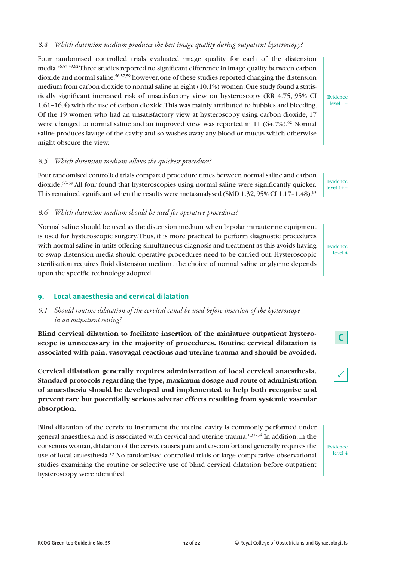#### *8.4 Which distension medium produces the best image quality during outpatient hysteroscopy?*

Four randomised controlled trials evaluated image quality for each of the distension media. 56,57,59,62Three studies reported no significant difference in image quality between carbon dioxide and normal saline; 56,57,59 however,one of these studies reported changing the distension medium from carbon dioxide to normal saline in eight (10.1%) women.One study found a statistically significant increased risk of unsatisfactory view on hysteroscopy (RR 4.75, 95% CI 1.61–16.4) with the use of carbon dioxide.This was mainly attributed to bubbles and bleeding. Of the 19 women who had an unsatisfactory view at hysteroscopy using carbon dioxide, 17 were changed to normal saline and an improved view was reported in 11 (64.7%).<sup>62</sup> Normal saline produces lavage of the cavity and so washes away any blood or mucus which otherwise might obscure the view.

#### *8.5 Which distension medium allows the quickest procedure?*

Four randomised controlled trials compared procedure times between normal saline and carbon dioxide. 56–59 All four found that hysteroscopies using normal saline were significantly quicker. This remained significant when the results were meta-analysed (SMD  $1.32,95\%$  CI  $1.17$ – $1.48$ ). $^{63}$ 

*8.6 Which distension medium should be used for operative procedures?*

Normal saline should be used as the distension medium when bipolar intrauterine equipment is used for hysteroscopic surgery.Thus, it is more practical to perform diagnostic procedures with normal saline in units offering simultaneous diagnosis and treatment as this avoids having to swap distension media should operative procedures need to be carried out. Hysteroscopic sterilisation requires fluid distension medium; the choice of normal saline or glycine depends upon the specific technology adopted.

# **9. Local anaesthesia and cervical dilatation**

# *9.1 Should routine dilatation of the cervical canal be used before insertion of the hysteroscope in an outpatient setting?*

**Blind cervical dilatation to facilitate insertion of the miniature outpatient hysteroscope is unnecessary in the majority of procedures. Routine cervical dilatation is associated with pain, vasovagal reactions and uterine trauma and should be avoided.**

**Cervical dilatation generally requires administration of local cervical anaesthesia. Standard protocols regarding the type, maximum dosage and route of administration of anaesthesia should be developed and implemented to help both recognise and prevent rare but potentially serious adverse effects resulting from systemic vascular absorption.**

Blind dilatation of the cervix to instrument the uterine cavity is commonly performed under general anaesthesia and is associated with cervical and uterine trauma. $^{1,31-34}$  In addition, in the conscious woman,dilatation of the cervix causes pain and discomfort and generally requires the use of local anaesthesia.<sup>19</sup> No randomised controlled trials or large comparative observational studies examining the routine or selective use of blind cervical dilatation before outpatient hysteroscopy were identified.

Evidence level 1+

Evidence level 1++

Evidence level 4





Evidence level 4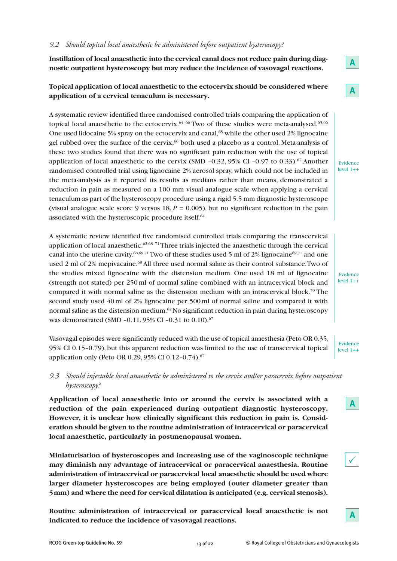#### *9.2 Should topical local anaesthetic be administered before outpatient hysteroscopy?*

**Instillation of local anaesthetic into the cervical canal does not reduce pain during diagnostic outpatient hysteroscopy but may reduce the incidence of vasovagal reactions.**

# **Topical application of local anaesthetic to the ectocervix should be considered where application of a cervical tenaculum is necessary.**

A systematic review identified three randomised controlled trials comparing the application of topical local anaesthetic to the ectocervix.<sup>64-66</sup> Two of these studies were meta-analysed.<sup>65,66</sup> One used lidocaine 5% spray on the ectocervix and canal, <sup>65</sup> while the other used 2% lignocaine gel rubbed over the surface of the cervix; <sup>66</sup> both used a placebo as a control. Meta-analysis of these two studies found that there was no significant pain reduction with the use of topical application of local anaesthetic to the cervix (SMD -0.32, 95% CI -0.97 to 0.33).<sup>67</sup> Another randomised controlled trial using lignocaine 2% aerosol spray, which could not be included in the meta-analysis as it reported its results as medians rather than means, demonstrated a reduction in pain as measured on a 100 mm visual analogue scale when applying a cervical tenaculum as part of the hysteroscopy procedure using a rigid 5.5 mm diagnostic hysteroscope (visual analogue scale score 9 versus  $18, P = 0.005$ ), but no significant reduction in the pain associated with the hysteroscopic procedure itself. 64

A systematic review identified five randomised controlled trials comparing the transcervical application of local anaesthetic. $62,68-71$  Three trials injected the anaesthetic through the cervical canal into the uterine cavity.<sup>68,69,71</sup> Two of these studies used 5 ml of 2% lignocaine<sup>69,71</sup> and one used 2 ml of 2% mepivacaine. <sup>68</sup> All three used normal saline as their control substance.Two of the studies mixed lignocaine with the distension medium. One used 18 ml of lignocaine (strength not stated) per 250 ml of normal saline combined with an intracervical block and compared it with normal saline as the distension medium with an intracervical block. <sup>70</sup> The second study used 40 ml of 2% lignocaine per 500 ml of normal saline and compared it with normal saline as the distension medium. $^{62}\rm{No}$  significant reduction in pain during hysteroscopy was demonstrated (SMD –0.11, 95% CI –0.31 to 0.10). 67

Vasovagal episodes were significantly reduced with the use of topical anaesthesia (Peto OR 0.35, 95% CI 0.15–0.79), but this apparent reduction was limited to the use of transcervical topical application only (Peto OR 0.29, 95% CI 0.12–0.74). 67

# *9.3 Should injectable local anaesthetic be administered to the cervix and/or paracervix before outpatient hysteroscopy?*

**Application of local anaesthetic into or around the cervix is associated with a reduction of the pain experienced during outpatient diagnostic hysteroscopy. However, it is unclear how clinically significant this reduction in pain is. Consideration should be given to the routine administration of intracervical or paracervical local anaesthetic, particularly in postmenopausal women.**

**Miniaturisation of hysteroscopes and increasing use of the vaginoscopic technique may diminish any advantage of intracervical or paracervical anaesthesia. Routine administration of intracervical or paracervical local anaesthetic should be used where larger diameter hysteroscopes are being employed (outer diameter greater than 5mm) and where the need for cervical dilatation is anticipated (e.g. cervical stenosis).**

**Routine administration of intracervical or paracervical local anaesthetic is not indicated to reduce the incidence of vasovagal reactions.**

**A**

Evidence  $level 1+4$ 

Evidence  $level 1++$ 

Evidence  $level 1++$ 

**A**

**A**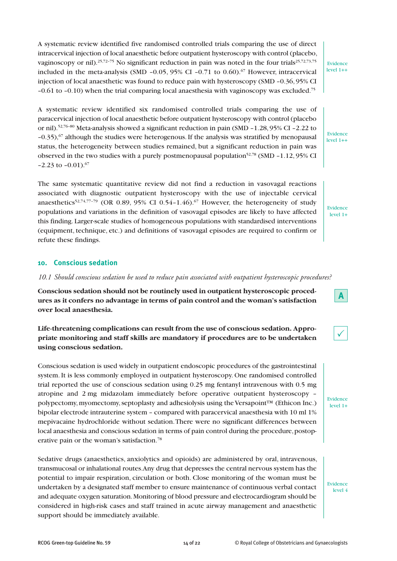A systematic review identified five randomised controlled trials comparing the use of direct intracervical injection of local anaesthetic before outpatient hysteroscopy with control (placebo, vaginoscopy or nil).<sup>25,72–75</sup> No significant reduction in pain was noted in the four trials<sup>25,72,73,75</sup> included in the meta-analysis (SMD –0.05, 95% CI –0.71 to 0.60). <sup>67</sup> However, intracervical injection of local anaesthetic was found to reduce pain with hysteroscopy (SMD –0.36,95% CI  $-0.61$  to  $-0.10$ ) when the trial comparing local anaesthesia with vaginoscopy was excluded.<sup>75</sup>

A systematic review identified six randomised controlled trials comparing the use of paracervical injection of local anaesthetic before outpatient hysteroscopy with control (placebo or nil). 52,76–80 Meta-analysis showed a significant reduction in pain (SMD –1.28, 95% CI –2.22 to  $-0.35$ ),<sup>67</sup> although the studies were heterogenous. If the analysis was stratified by menopausal status, the heterogeneity between studies remained, but a significant reduction in pain was observed in the two studies with a purely postmenopausal population<sup>52,78</sup> (SMD -1.12, 95% CI  $-2.23$  to  $-0.01$ ).<sup>67</sup>

The same systematic quantitative review did not find a reduction in vasovagal reactions associated with diagnostic outpatient hysteroscopy with the use of injectable cervical anaesthetics<sup>52,74,77-79</sup> (OR 0.89, 95% CI 0.54–1.46).<sup>67</sup> However, the heterogeneity of study populations and variations in the definition of vasovagal episodes are likely to have affected this finding. Larger-scale studies of homogeneous populations with standardised interventions (equipment, technique, etc.) and definitions of vasovagal episodes are required to confirm or refute these findings.

#### **10. Conscious sedation**

*10.1 Should conscious sedation be used to reduce pain associated with outpatient hysteroscopic procedures?*

**Conscious sedation should not be routinely used in outpatient hysteroscopic procedures as it confers no advantage in terms of pain control and the woman's satisfaction over local anaesthesia.**

# **Life-threatening complications can result from the use of conscious sedation. Appropriate monitoring and staff skills are mandatory if procedures are to be undertaken using conscious sedation.**

Conscious sedation is used widely in outpatient endoscopic procedures of the gastrointestinal system. It is less commonly employed in outpatient hysteroscopy. One randomised controlled trial reported the use of conscious sedation using 0.25 mg fentanyl intravenous with 0.5 mg atropine and 2 mg midazolam immediately before operative outpatient hysteroscopy – polypectomy, myomectomy, septoplasty and adhesiolysis using the Versapoint™ (Ethicon Inc.) bipolar electrode intrauterine system – compared with paracervical anaesthesia with 10 ml 1% mepivacaine hydrochloride without sedation.There were no significant differences between local anaesthesia and conscious sedation in terms of pain control during the procedure, postoperative pain or the woman's satisfaction. 78

Sedative drugs (anaesthetics, anxiolytics and opioids) are administered by oral, intravenous, transmucosal or inhalational routes.Any drug that depresses the central nervous system has the potential to impair respiration, circulation or both. Close monitoring of the woman must be undertaken by a designated staff member to ensure maintenance of continuous verbal contact and adequate oxygen saturation.Monitoring of blood pressure and electrocardiogram should be considered in high-risk cases and staff trained in acute airway management and anaesthetic support should be immediately available.

Evidence level 4

Evidence level 1++

Evidence level 1+

Evidence level 1+

 $\checkmark$ 

**A**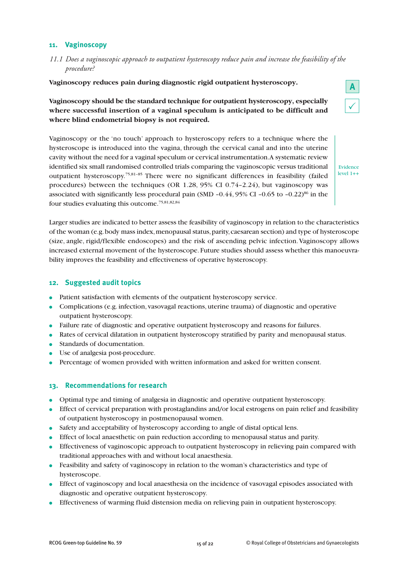#### **11. Vaginoscopy**

*11.1 Does a vaginoscopic approach to outpatient hysteroscopy reduce pain and increase the feasibility of the procedure?*

**Vaginoscopy reduces pain during diagnostic rigid outpatient hysteroscopy.**

# **Vaginoscopy should be the standard technique for outpatient hysteroscopy, especially where successful insertion of a vaginal speculum is anticipated to be difficult and where blind endometrial biopsy is not required.**

Vaginoscopy or the 'no touch' approach to hysteroscopy refers to a technique where the hysteroscope is introduced into the vagina, through the cervical canal and into the uterine cavity without the need for a vaginal speculum or cervical instrumentation.A systematic review identified six small randomised controlled trials comparing the vaginoscopic versus traditional outpatient hysteroscopy. 75,81–85 There were no significant differences in feasibility (failed procedures) between the techniques (OR 1.28, 95% CI 0.74–2.24), but vaginoscopy was associated with significantly less procedural pain (SMD –0.44, 95% CI –0.65 to –0.22)<sup>86</sup> in the four studies evaluating this outcome. 75,81,82,84

Larger studies are indicated to better assess the feasibility of vaginoscopy in relation to the characteristics of the woman (e.g. body mass index, menopausal status, parity, caesarean section) and type of hysteroscope (size, angle, rigid/flexible endoscopes) and the risk of ascending pelvic infection.Vaginoscopy allows increased external movement of the hysteroscope. Future studies should assess whether this manoeuvrability improves the feasibility and effectiveness of operative hysteroscopy.

#### **12. Suggested audit topics**

- **●** Patient satisfaction with elements of the outpatient hysteroscopy service.
- **●** Complications (e.g. infection, vasovagal reactions, uterine trauma) of diagnostic and operative outpatient hysteroscopy.
- **●** Failure rate of diagnostic and operative outpatient hysteroscopy and reasons for failures.
- **●** Rates of cervical dilatation in outpatient hysteroscopy stratified by parity and menopausal status.
- **●** Standards of documentation.
- **●** Use of analgesia post-procedure.
- **●** Percentage of women provided with written information and asked for written consent.

#### **13. Recommendations for research**

- **●** Optimal type and timing of analgesia in diagnostic and operative outpatient hysteroscopy.
- **●** Effect of cervical preparation with prostaglandins and/or local estrogens on pain relief and feasibility of outpatient hysteroscopy in postmenopausal women.
- **●** Safety and acceptability of hysteroscopy according to angle of distal optical lens.
- **●** Effect of local anaesthetic on pain reduction according to menopausal status and parity.
- **●** Effectiveness of vaginoscopic approach to outpatient hysteroscopy in relieving pain compared with traditional approaches with and without local anaesthesia.
- **●** Feasibility and safety of vaginoscopy in relation to the woman's characteristics and type of hysteroscope.
- **●** Effect of vaginoscopy and local anaesthesia on the incidence of vasovagal episodes associated with diagnostic and operative outpatient hysteroscopy.
- **●** Effectiveness of warming fluid distension media on relieving pain in outpatient hysteroscopy.



Evidence level 1++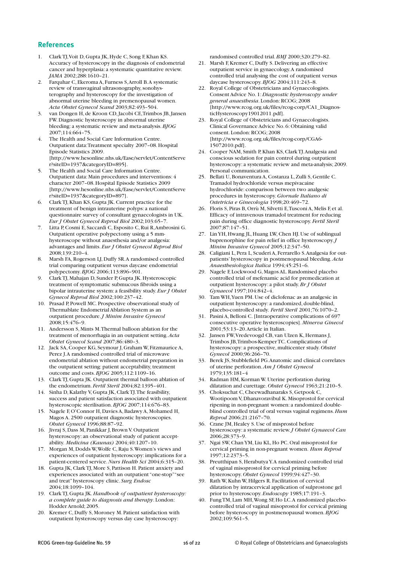#### **References**

- 1. ClarkTJ,Voit D, Gupta JK, Hyde C, Song F,Khan KS. Accuracy of hysteroscopy in the diagnosis of endometrial cancer and hyperplasia: a systematic quantitative review. *JAMA* 2002;288:1610–21.
- 2. Farquhar C, Ekeroma A, Furness S,Arroll B.A systematic review of transvaginal ultrasonography, sonohysterography and hysteroscopy for the investigation of abnormal uterine bleeding in premenopausal women. *Acta Obstet Gynecol Scand* 2003;82:493–504.
- 3. van Dongen H, de Kroon CD,Jacobi CE,Trimbos JB,Jansen FW. Diagnostic hysteroscopy in abnormal uterine bleeding: a systematic review and meta-analysis.*BJOG* 2007;114:664–75.
- 4. The Health and Social Care Information Centre. Outpatient data:Treatment specialty 2007–08. Hospital Episode Statistics 2009. [http://www.hesonline.nhs.uk/Ease/servlet/ContentServe r?siteID=1937&categoryID=895].
- 5. The Health and Social Care Information Centre. Outpatient data: Main procedures and interventions: 4 character 2007–08. Hospital Episode Statistics 2009 [http://www.hesonline.nhs.uk/Ease/servlet/ContentServe r?siteID=1937&categoryID=897].
- 6. ClarkTJ,Khan KS, Gupta JK.Current practice for the treatment of benign intrauterine polyps: a national questionnaire survey of consultant gynaecologists in UK. *Eur J Obstet Gynecol Reprod Biol* 2002;103:65–7.
- 7. Litta P,Cosmi E, Saccardi C, Esposito C,Rui R,Ambrosini G. Outpatient operative polypectomy using a 5 mmhysteroscope without anaesthesia and/or analgesia: advantages and limits. *Eur J Obstet Gynecol Reprod Biol* 2008;139:210–4.
- 8. Marsh FA, Rogerson LJ, Duffy SR.A randomised controlled trial comparing outpatient versus daycase endometrial polypectomy.*BJOG* 2006;113:896–901.
- 9. ClarkTJ, Mahajan D, Sunder P, Gupta JK. Hysteroscopic treatment of symptomatic submucous fibroids using a bipolar intrauterine system: a feasibility study. *Eur J Obstet Gynecol Reprod Biol* 2002;100:237–42.
- 10. Prasad P, Powell MC. Prospective observational study of Thermablate Endometrial Ablation System as an outpatient procedure.*J Minim Invasive Gynecol* 2008;15:476–9.
- 11. Andersson S, Mints M.Thermal balloon ablation for the treatment of menorrhagia in an outpatient setting.*Acta Obstet Gynecol Scand* 2007;86:480–3.
- 12. Jack SA,Cooper KG, Seymour J, Graham W, Fitzmaurice A, Perez J.A randomised controlled trial of microwave endometrial ablation without endometrial preparation in the outpatient setting: patient acceptability, treatment outcome and costs.*BJOG* 2005;112:1109–16.
- 13. ClarkTJ, Gupta JK.Outpatient thermal balloon ablation of the endometrium. *Fertil Steril* 2004;82:1395–401.
- 14. Sinha D,Kalathy V, Gupta JK,ClarkTJ.The feasibility, success and patient satisfaction associated with outpatient hysteroscopic sterilisation.*BJOG* 2007;114:676–83.
- 15. Nagele F, O'Connor H, Davies A, Badawy A, Mohamed H, Magos A. 2500 outpatient diagnostic hysteroscopies. *Obstet Gynecol* 1996;88:87–92.
- 16. Jivraj S, Dass M, Panikkar J,Brown V.Outpatient hysteroscopy: an observational study of patient acceptability. *Medicina (Kaunas)* 2004;40:1207–10.
- 17. Morgan M, Dodds W,Wolfe C,Raju S.Women's views and experiences of outpatient hysteroscopy: implications for a patient-centered service.*Nurs Health Sci* 2004;6:315–20.
- 18. Gupta JK, Clark TJ, More S, Pattison H. Patient anxiety and experiences associated with an outpatient "one-stop""see and treat"hysteroscopy clinic. *Surg Endosc* 2004;18:1099–104.
- 19. ClarkTJ, Gupta JK.*Handbook of outpatient hysteroscopy: a complete guide to diagnosis and therapy*. London: Hodder Arnold; 2005.
- 20. Kremer C, Duffy S, Moroney M. Patient satisfaction with outpatient hysteroscopy versus day case hysteroscopy:

randomised controlled trial.*BMJ* 2000;320:279–82.

- 21. Marsh F,Kremer C, Duffy S. Delivering an effective outpatient service in gynaecology.A randomised controlled trial analysing the cost of outpatient versus daycase hysteroscopy.*BJOG* 2004;111:243–8.
- Royal College of Obstetricians and Gynaecologists. Consent Advice No. 1:*Diagnostic hysteroscopy under general anaesthesia*. London:RCOG; 2008 [http://www.rcog.org.uk/files/rcog-corp/CA1\_DiagnosticHysteroscopy19012011.pdf].
- 23. Royal College of Obstetricians and Gynaecologists. Clinical Governance Advice No. 6:Obtaining valid consent. London:RCOG; 2008 [http://www.rcog.org.uk/files/rcog-corp/CGA6- 15072010.pdf].
- 24. Cooper NAM, Smith P,Khan KS,ClarkTJ.Analgesia and conscious sedation for pain control during outpatient hysteroscopy: a systematic review and meta-analysis; 2009. Personal communication.
- 25. Bellati U, Bonaventura A, Costanza L, Zulli S, Gentile C. Tramadol hydrochloride versus mepivacaine hydrochloride: comparison between two analgesic procedures in hysteroscopy. *Giornale Italiano di Ostetricia e Ginecologia* 1998;20:469–72.
- 26. Floris S, Piras B,Orrù M, Silvetti E,Tusconi A, Melis F, et al. Efficacy of intravenous tramadol treatment for reducing pain during office diagnostic hysteroscopy. *Fertil Steril* 2007;87:147–51.
- 27. LinYH, Hwang JL, Huang LW,Chen HJ.Use of sublingual buprenorphine for pain relief in office hysteroscopy.*J Minim Invasive Gynecol* 2005;12:347–50.
- 28. Caligiani L, Pera L, Scuderi A, Ferrarello S.Analgesia for outpatients' hysteroscopy in postmenopausal bleeding.*Acta Anaesthesiologica Italica* 1994;45:251–6.
- 29. Nagele F, Lockwood G, Magos AL.Randomised placebo controlled trial of mefenamic acid for premedication at outpatient hysteroscopy: a pilot study.*Br J Obstet Gynaecol* 1997;104:842–4.
- 30. Tam WH,Yuen PM.Use of diclofenac as an analgesic in outpatient hysteroscopy: a randomized, double-blind, placebo-controlled study. *Fertil Steril* 2001;76:1070–2.
- 31. Pasini A,Belloni C.[Intraoperative complications of 697 consecutive operative hysteroscopies]. *Minerva Ginecol* 2001;53:13–20.Article in Italian.
- 32. Jansen FW,Vredevoogd CB, van Ulzen K, Hermans J, Trimbos JB,Trimbos-KemperTC.Complications of hysteroscopy: a prospective, multicenter study. *Obstet Gynecol* 2000;96:266–70.
- 33. Berek JS, Stubblefield PG.Anatomic and clinical correlates of uterine perforation.*Am J Obstet Gynecol* 1979;135:181–4
- 34. Radman HM,Korman W.Uterine perforation during dilatation and curettage. *Obstet Gynecol* 1963;21:210–5.
- 35. Choksuchat C,Cheewadhanaraks S, Getpook C, Wootipoom V, Dhanavoravibul K. Misoprostol for cervical ripening in non-pregnant women: a randomized doubleblind controlled trial of oral versus vaginal regimens.*Hum Reprod* 2006;21:2167–70.
- 36. Crane JM, Healey S.Use of misprostol before hysteroscopy: a systematic review.*J Obstet Gynaecol Can* 2006;28:373–9.
- 37. Ngai SW,ChanYM, Liu KL, Ho PC.Oral misoprostol for cervical priming in non-pregnant women. *Hum Reprod* 1997;12:2373–5.
- 38. Preutthipan S, HerabutyaY.A randomized controlled trial of vaginal misoprostol for cervical priming before hysteroscopy. *Obstet Gynecol* 1999;94:427–30.
- 39. Rath W,Kuhn W, Hilgers R. Facilitation of cervical dilatation by intracervical application of sulprostone gel prior to hysteroscopy. *Endoscopy* 1985;17:191–3.
- 40. FungTM, Lam MH,Wong SF, Ho LC.A randomized placebocontrolled trial of vaginal misoprostol for cervical priming before hysteroscopy in postmenopausal women.*BJOG* 2002;109:561–5.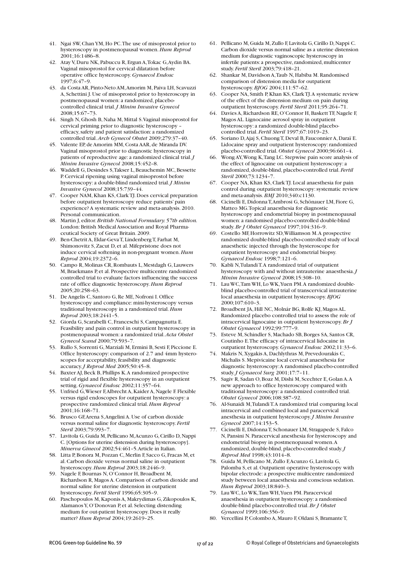- 41. Ngai SW,ChanYM, Ho PC.The use of misoprostol prior to hysteroscopy in postmenopausal women.*Hum Reprod* 2001;16:1486–8.
- 42. Atay V, Duru NK, Pabuccu R, Ergun A,Tokac G,Aydin BA. Vaginal misoprostol for cervical dilatation before operative office hysteroscopy. *Gynaecol Endosc* 1997;6:47–9.
- 43. da Costa AR, Pinto-Neto AM,Amorim M, Paiva LH, Scavuzzi A, Schettini J.Use of misoprostol prior to hysteroscopy in postmenopausal women: a randomized, placebocontrolled clinical trial.*J Minim Invasive Gynecol* 2008;15:67–73.
- 44. Singh N, Ghosh B, Naha M, Mittal S. Vaginal misoprostol for cervical priming prior to diagnostic hysteroscopy – efficacy,safety and patient satisfaction: a randomized controlled trial.*Arch Gynecol Obstet* 2009;279:37–40.
- 45. Valente EP, de Amorim MM,Costa AAR, de Miranda DV. Vaginal misoprostol prior to diagnostic hysteroscopy in patients of reproductive age: a randomized clinical trial.*J Minim Invasive Gynecol* 2008;15:452–8.
- 46. Waddell G, Desindes S, Takser L, Beauchemin MC, Bessette P.Cervical ripening using vaginal misoprostol before hysteroscopy: a double-blind randomized trial.*J Minim Invasive Gynecol* 2008;15:739–44.
- 47. Cooper NAM,Khan KS,ClarkTJ. Does cervical preparation before outpatient hysteroscopy reduce patients'pain experience? A systematic review and meta-analysis. 2010. Personal communication.
- 48. Martin J, editor.*British National Formulary.57th edition.* London:British Medical Association and Royal Pharmaceutical Society of Great Britain. 2009.
- 49. Ben-Chetrit A, Eldar-GevaT, LindenbergT, Farhat M, Shimonovitz S,Zacut D, et al. Mifepristone does not induce cervical softening in non-pregnant women.*Hum Reprod* 2004;19:2372–6.
- 50. Campo R, Molinas CR,Rombauts L, Mestdagh G, Lauwers M,Braekmans P, et al. Prospective multicentre randomized controlled trial to evaluate factors influencing the success rate of office diagnostic hysteroscopy.*Hum Reprod* 2005;20:258–63.
- 51. De Angelis C, Santoro G, Re ME, Nofroni I. Office hysteroscopy and compliance: mini-hysteroscopy versus traditional hysteroscopy in a randomized trial.*Hum Reprod* 2003;18:2441–5.
- 52. Giorda G, Scarabelli C, Franceschi S,Campagnutta E. Feasibility and pain control in outpatient hysteroscopy in postmenopausal women: a randomized trial.*Acta Obstet Gynecol Scand* 2000;79:593–7.
- 53. Rullo S, Sorrenti G, Marziali M, Ermini B, Sesti F, Piccione E. Office hysteroscopy: comparison of 2.7 and 4mm hysteroscopes for acceptability, feasibility and diagnostic accuracy.*J Reprod Med* 2005;50:45–8.
- 54. Baxter AJ,Beck B, Phillips K.A randomized prospective trial of rigid and flexible hysteroscopy in an outpatient setting. *Gynaecol Endosc* 2002;11:357–64.
- 55. Unfried G, Wieser F, Albrecht A, Kaider A, Nagele F. Flexible versus rigid endoscopes for outpatient hysteroscopy: a prospective randomized clinical trial.*Hum Reprod* 2001;16:168–71.
- 56. Brusco GF,Arena S,Angelini A.Use of carbon dioxide versus normal saline for diagnostic hysteroscopy. *Fertil Steril* 2003;79:993–7.
- 57. Lavitola G,Guida M,Pellicano M,Acunzo G,Cirillo D,Nappi C.[Options for uterine distension during hysteroscopy]. *Minerva Ginecol* 2002;54:461–5.Article in Italian.
- 58. Litta P,Bonora M, Pozzan C, Merlin F, Sacco G, Fracas M, et al.Carbon dioxide versus normal saline in outpatient hysteroscopy.*Hum Reprod* 2003;18:2446–9.
- 59. Nagele F,Bournas N,O'Connor H,Broadbent M, Richardson R, Magos A.Comparison of carbon dioxide and normal saline for uterine distension in outpatient hysteroscopy. *Fertil Steril* 1996;65:305–9.
- 60. Paschopoulos M,Kaponis A, Makrydimas G,Zikopoulos K, AlamanosY,O'Donovan P, et al. Selecting distending medium for out-patient hysteroscopy. Does it really matter? *Hum Reprod* 2004;19:2619–25.
- 61. Pellicano M,Guida M,Zullo F, Lavitola G,Cirillo D,Nappi C. Carbon dioxide versus normal saline as a uterine distension medium for diagnostic vaginoscopic hysteroscopy in infertile patients: a prospective, randomized, multicenter study.*Fertil Steril* 2003;79:418–21.
- 62. Shankar M, Davidson A,Taub N, Habiba M.Randomised comparison of distension media for outpatient hysteroscopy.*BJOG* 2004;111:57–62.
- 63. Cooper NA, Smith P,Khan KS,ClarkTJ.A systematic review of the effect of the distension medium on pain during outpatient hysteroscopy. *Fertil Steril* 2011;95:264–71.
- 64. Davies A, Richardson RE, O'Connor H, Baskett TF, Nagele F, Magos AL. Lignocaine aerosol spray in outpatient hysteroscopy: a randomized double-blind placebocontrolled trial. *Fertil Steril* 1997;67:1019–23.
- 65. Soriano D,Ajaj S,ChuongT, Deval B, Fauconnier A, Daraï E. Lidocaine spray and outpatient hysteroscopy: randomized placebo-controlled trial. *Obstet Gynecol* 2000;96:661–4.
- 66. Wong AY,Wong K,Tang LC. Stepwise pain score analysis of the effect of lignocaine on outpatient hysteroscopy: a randomized, double-blind,placebo-controlled trial. *Fertil Steril* 2000;73:1234–7.
- 67. Cooper NA,Khan KS,ClarkTJ. Local anaesthesia for pain control during outpatient hysteroscopy: systematic review and meta-analysis.*BMJ* 2010;340:c1130.
- 68. Cicinelli E, DidonnaT,Ambrosi G, Schönauer LM, Fiore G, Matteo MG.Topical anaesthesia for diagnostic hysteroscopy and endometrial biopsy in postmenopausal women: a randomised placebo-controlled double-blind study.*Br J Obstet Gynaecol* 1997;104:316–9.
- Costello MF, Horrowitz SD, Williamson M.A prospective randomized double-blind placebo-controlled study of local anaesthetic injected through the hysteroscope for outpatient hysteroscopy and endometrial biopsy. *Gynaecol Endosc* 1998;7:121–6.
- 70. Kabli N,TulandiT.A randomized trial of outpatient hysteroscopy with and without intrauterine anaesthesia.*J Minim Invasive Gynecol* 2008;15:308–10.
- 71. Lau WC,Tam WH, Lo WK,Yuen PM.A randomized doubleblind placebo-controlled trial of transcervical intrauterine local anaesthesia in outpatient hysteroscopy.*BJOG* 2000;107:610–3.
- 72. Broadbent JA, Hill NC, Molnár BG,Rolfe KJ, Magos AL. Randomized placebo controlled trial to assess the role of intracervical lignocaine in outpatient hysteroscopy.*Br J Obstet Gynaecol* 1992;99:777–9.
- 73. Esteve M, Schindler S, Machado SB,Borges SA, Santos CR, Coutinho E.The efficacy of intracervical lidocaine in outpatient hysteroscopy. *Gynaecol Endosc* 2002;11:33–6.
- 74. Makris N,Xygakis A, Dachlythras M, Prevedourakis C, Michalis S. Mepivicaine local cervical anaesthesia for diagnostic hysteroscopy:A randomised placebo-controlled study.*J Gynaecol Surg* 2001;17:7–11.
- 75. Sagiv R, Sadan O,Boaz M, Dishi M, Scechter E, Golan A.A new approach to office hysteroscopy compared with traditional hysteroscopy: a randomized controlled trial. *Obstet Gynecol* 2006;108:387–92.
- 76. Al-Sunaidi M,TulandiT.A randomized trial comparing local intracervical and combined local and paracervical anesthesia in outpatient hysteroscopy.*J Minim Invasive Gynecol* 2007;14:153–5.
- 77. Cicinelli E, DidonnaT, Schonauer LM, Stragapede S, Falco N, Pansini N. Paracervical anesthesia for hysteroscopy and endometrial biopsy in postmenopausal women.A randomized, double-blind,placebo-controlled study.*J Reprod Med* 1998;43:1014–8.
- 78. Guida M, Pellicano M,Zullo F,Acunzo G, Lavitola G, Palomba S, et al.Outpatient operative hysteroscopy with bipolar electrode: a prospective multicentre randomized study between local anaesthesia and conscious sedation. *Hum Reprod* 2003;18:840–3.
- 79. Lau WC, Lo WK,Tam WH,Yuen PM. Paracervical anaesthesia in outpatient hysteroscopy: a randomised double-blind placebo-controlled trial.*Br J Obstet Gynaecol* 1999;106:356–9.
- 80. Vercellini P, Colombo A, Mauro F, Oldani S, Bramante T,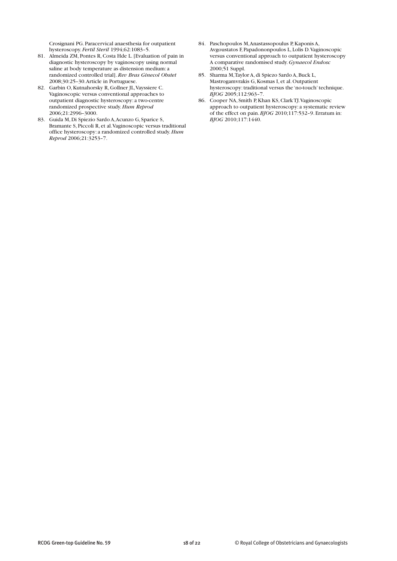Crosignani PG. Paracervical anaesthesia for outpatient hysteroscopy. *Fertil Steril* 1994;62:1083–5.

- 81. Almeida ZM, Pontes R, Costa Hde L. [Evaluation of pain in diagnostic hysteroscopy by vaginoscopy using normal saline at body temperature as distension medium: a randomized controlled trial].*Rev Bras Ginecol Obstet* 2008;30:25–30.Article in Portuguese.
- 82. Garbin O,Kutnahorsky R, Gollner JL,Vayssiere C. Vaginoscopic versus conventional approaches to outpatient diagnostic hysteroscopy: a two-centre randomized prospective study.*Hum Reprod* 2006;21:2996–3000.
- 83. Guida M, Di Spiezio Sardo A,Acunzo G, Sparice S, Bramante S, Piccoli R, et al.Vaginoscopic versus traditional office hysteroscopy: a randomized controlled study.*Hum Reprod* 2006;21:3253–7.
- 84. Paschopoulos M,Anastassopoulus P,Kaponis A, Avgoustatos F, Papadononpoulos L, Lolis D.Vaginoscopic versus conventional approach to outpatient hysteroscopy A comparative randomised study. *Gynaecol Endosc* 2000;51 Suppl.
- 85. Sharma M,Taylor A, di Spiezo Sardo A,Buck L, Mastrogamvrakis G,Kosmas I, et al.Outpatient hysteroscopy:traditional versus the 'no-touch'technique. *BJOG* 2005;112:963–7.
- 86. Cooper NA, Smith P,Khan KS,ClarkTJ.Vaginoscopic approach to outpatient hysteroscopy: a systematic review of the effect on pain.*BJOG* 2010;117:532–9. Erratum in: *BJOG* 2010;117:1440.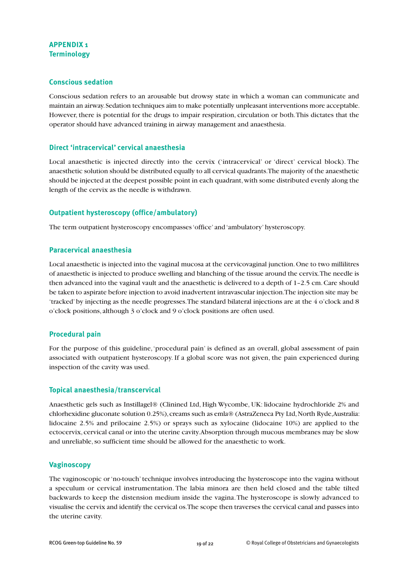# **APPENDIX 1 Terminology**

#### **Conscious sedation**

Conscious sedation refers to an arousable but drowsy state in which a woman can communicate and maintain an airway.Sedation techniques aim to make potentially unpleasant interventions more acceptable. However, there is potential for the drugs to impair respiration, circulation or both.This dictates that the operator should have advanced training in airway management and anaesthesia.

#### **Direct 'intracervical' cervical anaesthesia**

Local anaesthetic is injected directly into the cervix ('intracervical' or 'direct' cervical block). The anaesthetic solution should be distributed equally to all cervical quadrants.The majority of the anaesthetic should be injected at the deepest possible point in each quadrant,with some distributed evenly along the length of the cervix as the needle is withdrawn.

# **Outpatient hysteroscopy (office/ambulatory)**

The term outpatient hysteroscopy encompasses'office' and 'ambulatory' hysteroscopy.

#### **Paracervical anaesthesia**

Local anaesthetic is injected into the vaginal mucosa at the cervicovaginal junction.One to two millilitres of anaesthetic is injected to produce swelling and blanching of the tissue around the cervix.The needle is then advanced into the vaginal vault and the anaesthetic is delivered to a depth of 1–2.5 cm.Care should be taken to aspirate before injection to avoid inadvertent intravascular injection.The injection site may be 'tracked' by injecting as the needle progresses.The standard bilateral injections are at the 4 o'clock and 8 o'clock positions, although 3 o'clock and 9 o'clock positions are often used.

#### **Procedural pain**

For the purpose of this guideline,'procedural pain' is defined as an overall, global assessment of pain associated with outpatient hysteroscopy. If a global score was not given, the pain experienced during inspection of the cavity was used.

#### **Topical anaesthesia/transcervical**

Anaesthetic gels such as Instillagel® (Clinined Ltd, High Wycombe, UK: lidocaine hydrochloride 2% and chlorhexidine gluconate solution 0.25%), creams such as emla® (AstraZeneca Pty Ltd, North Ryde,Australia: lidocaine 2.5% and prilocaine 2.5%) or sprays such as xylocaine (lidocaine 10%) are applied to the ectocervix, cervical canal or into the uterine cavity.Absorption through mucous membranes may be slow and unreliable, so sufficient time should be allowed for the anaesthetic to work.

#### **Vaginoscopy**

The vaginoscopic or'no-touch'technique involves introducing the hysteroscope into the vagina without a speculum or cervical instrumentation. The labia minora are then held closed and the table tilted backwards to keep the distension medium inside the vagina.The hysteroscope is slowly advanced to visualise the cervix and identify the cervical os.The scope then traverses the cervical canal and passes into the uterine cavity.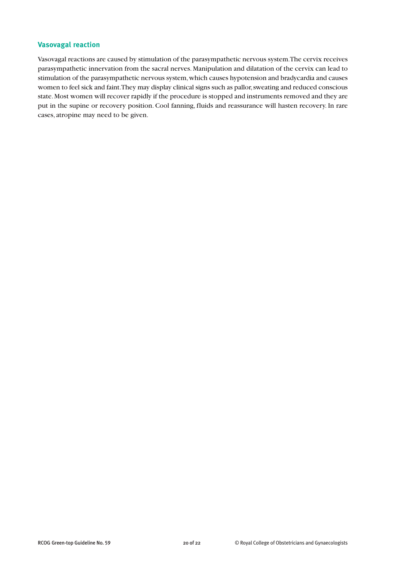#### **Vasovagal reaction**

Vasovagal reactions are caused by stimulation of the parasympathetic nervous system.The cervix receives parasympathetic innervation from the sacral nerves.Manipulation and dilatation of the cervix can lead to stimulation of the parasympathetic nervous system,which causes hypotension and bradycardia and causes women to feel sick and faint. They may display clinical signs such as pallor, sweating and reduced conscious state.Most women will recover rapidly if the procedure is stopped and instruments removed and they are put in the supine or recovery position. Cool fanning, fluids and reassurance will hasten recovery. In rare cases, atropine may need to be given.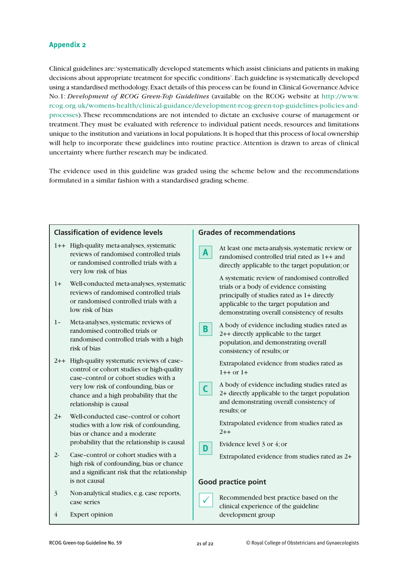#### **Appendix 2**

Clinical guidelines are:'systematically developed statements which assist clinicians and patients in making decisions about appropriate treatment for specific conditions'.Each guideline is systematically developed using a standardised methodology.Exact details of this process can be found in Clinical GovernanceAdvice No.1: *Development of RCOG Green-Top Guidelines* (available on the RCOG website at http://www. rcog.org.uk/womens-health/clinical-guidance/development-rcog-green-top-guidelines-policies-andprocesses).These recommendations are not intended to dictate an exclusive course of management or treatment.They must be evaluated with reference to individual patient needs, resources and limitations unique to the institution and variations in local populations.It is hoped that this process of local ownership will help to incorporate these guidelines into routine practice.Attention is drawn to areas of clinical uncertainty where further research may be indicated.

The evidence used in this guideline was graded using the scheme below and the recommendations formulated in a similar fashion with a standardised grading scheme.

| <b>Classification of evidence levels</b><br><b>Grades of recommendations</b>                                                                                                                                                                    |                                                                                                                                                                                                                                   |
|-------------------------------------------------------------------------------------------------------------------------------------------------------------------------------------------------------------------------------------------------|-----------------------------------------------------------------------------------------------------------------------------------------------------------------------------------------------------------------------------------|
| 1++ High-quality meta-analyses, systematic<br>reviews of randomised controlled trials<br>or randomised controlled trials with a<br>very low risk of bias                                                                                        | At least one meta-analysis, systematic review or<br>$\mathbf{A}$<br>randomised controlled trial rated as 1++ and<br>directly applicable to the target population; or                                                              |
| Well-conducted meta-analyses, systematic<br>$1+$<br>reviews of randomised controlled trials<br>or randomised controlled trials with a<br>low risk of bias                                                                                       | A systematic review of randomised controlled<br>trials or a body of evidence consisting<br>principally of studies rated as 1+ directly<br>applicable to the target population and<br>demonstrating overall consistency of results |
| Meta-analyses, systematic reviews of<br>$1 -$<br>randomised controlled trials or<br>randomised controlled trials with a high<br>risk of bias                                                                                                    | A body of evidence including studies rated as<br>B.<br>2++ directly applicable to the target<br>population, and demonstrating overall<br>consistency of results; or                                                               |
| 2++ High-quality systematic reviews of case-<br>control or cohort studies or high-quality<br>case-control or cohort studies with a<br>very low risk of confounding, bias or<br>chance and a high probability that the<br>relationship is causal | Extrapolated evidence from studies rated as<br>$1++$ or $1+$<br>A body of evidence including studies rated as<br>$\mathsf{C}$<br>2+ directly applicable to the target population<br>and demonstrating overall consistency of      |
| Well-conducted case-control or cohort<br>$2+$<br>studies with a low risk of confounding,<br>bias or chance and a moderate<br>probability that the relationship is causal                                                                        | results; or<br>Extrapolated evidence from studies rated as<br>$2 + +$<br>Evidence level 3 or 4; or                                                                                                                                |
| Case-control or cohort studies with a<br>$2-$<br>high risk of confounding, bias or chance<br>and a significant risk that the relationship<br>is not causal                                                                                      | D<br>Extrapolated evidence from studies rated as 2+<br><b>Good practice point</b>                                                                                                                                                 |
| $\overline{3}$<br>Non-analytical studies, e.g. case reports,<br>case series<br><b>Expert opinion</b><br>4                                                                                                                                       | Recommended best practice based on the<br>$\checkmark$<br>clinical experience of the guideline<br>development group                                                                                                               |
|                                                                                                                                                                                                                                                 |                                                                                                                                                                                                                                   |